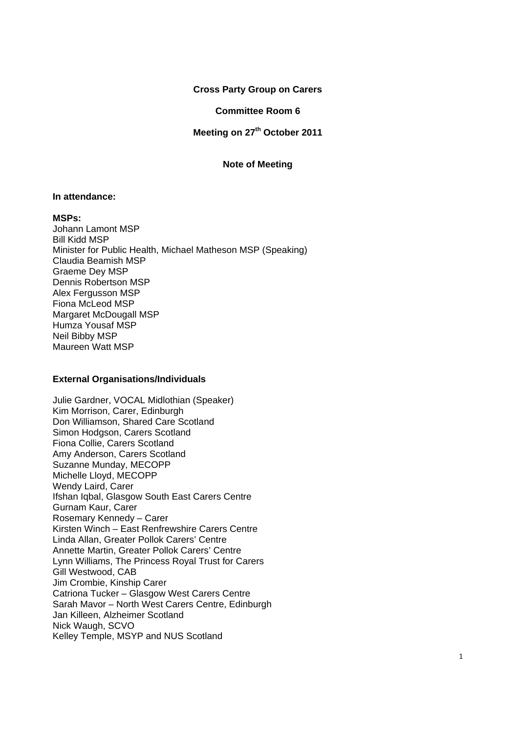### **Cross Party Group on Carers**

## **Committee Room 6**

# **Meeting on 27<sup>th</sup> October 2011**

### **Note of Meeting**

### **In attendance:**

#### **MSPs:**

Johann Lamont MSP Bill Kidd MSP Minister for Public Health, Michael Matheson MSP (Speaking) Claudia Beamish MSP Graeme Dey MSP Dennis Robertson MSP Alex Fergusson MSP Fiona McLeod MSP Margaret McDougall MSP Humza Yousaf MSP Neil Bibby MSP Maureen Watt MSP

### **External Organisations/Individuals**

Julie Gardner, VOCAL Midlothian (Speaker) Kim Morrison, Carer, Edinburgh Don Williamson, Shared Care Scotland Simon Hodgson, Carers Scotland Fiona Collie, Carers Scotland Amy Anderson, Carers Scotland Suzanne Munday, MECOPP Michelle Lloyd, MECOPP Wendy Laird, Carer Ifshan Iqbal, Glasgow South East Carers Centre Gurnam Kaur, Carer Rosemary Kennedy – Carer Kirsten Winch – East Renfrewshire Carers Centre Linda Allan, Greater Pollok Carers' Centre Annette Martin, Greater Pollok Carers' Centre Lynn Williams, The Princess Royal Trust for Carers Gill Westwood, CAB Jim Crombie, Kinship Carer Catriona Tucker – Glasgow West Carers Centre Sarah Mavor – North West Carers Centre, Edinburgh Jan Killeen, Alzheimer Scotland Nick Waugh, SCVO Kelley Temple, MSYP and NUS Scotland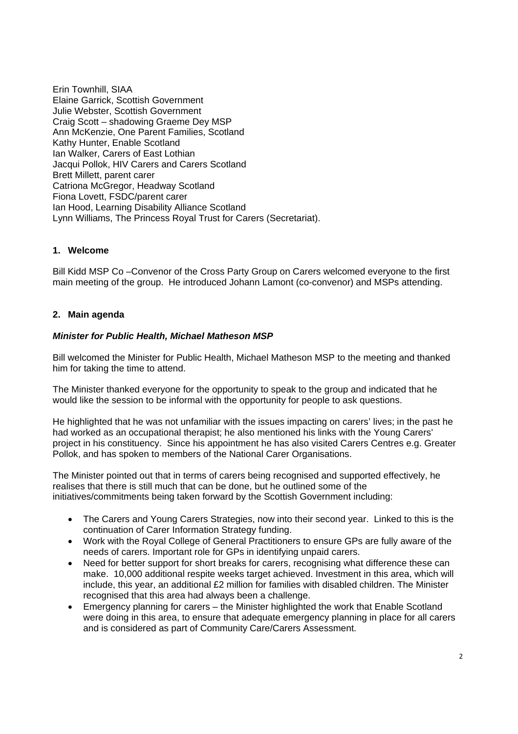Erin Townhill, SIAA Elaine Garrick, Scottish Government Julie Webster, Scottish Government Craig Scott – shadowing Graeme Dey MSP Ann McKenzie, One Parent Families, Scotland Kathy Hunter, Enable Scotland Ian Walker, Carers of East Lothian Jacqui Pollok, HIV Carers and Carers Scotland Brett Millett, parent carer Catriona McGregor, Headway Scotland Fiona Lovett, FSDC/parent carer Ian Hood, Learning Disability Alliance Scotland Lynn Williams, The Princess Royal Trust for Carers (Secretariat).

# **1. Welcome**

Bill Kidd MSP Co –Convenor of the Cross Party Group on Carers welcomed everyone to the first main meeting of the group. He introduced Johann Lamont (co-convenor) and MSPs attending.

## **2. Main agenda**

## *Minister for Public Health, Michael Matheson MSP*

Bill welcomed the Minister for Public Health, Michael Matheson MSP to the meeting and thanked him for taking the time to attend.

The Minister thanked everyone for the opportunity to speak to the group and indicated that he would like the session to be informal with the opportunity for people to ask questions.

He highlighted that he was not unfamiliar with the issues impacting on carers' lives; in the past he had worked as an occupational therapist; he also mentioned his links with the Young Carers' project in his constituency. Since his appointment he has also visited Carers Centres e.g. Greater Pollok, and has spoken to members of the National Carer Organisations.

The Minister pointed out that in terms of carers being recognised and supported effectively, he realises that there is still much that can be done, but he outlined some of the initiatives/commitments being taken forward by the Scottish Government including:

- The Carers and Young Carers Strategies, now into their second year. Linked to this is the continuation of Carer Information Strategy funding.
- Work with the Royal College of General Practitioners to ensure GPs are fully aware of the needs of carers. Important role for GPs in identifying unpaid carers.
- Need for better support for short breaks for carers, recognising what difference these can make. 10,000 additional respite weeks target achieved. Investment in this area, which will include, this year, an additional £2 million for families with disabled children. The Minister recognised that this area had always been a challenge.
- Emergency planning for carers the Minister highlighted the work that Enable Scotland were doing in this area, to ensure that adequate emergency planning in place for all carers and is considered as part of Community Care/Carers Assessment.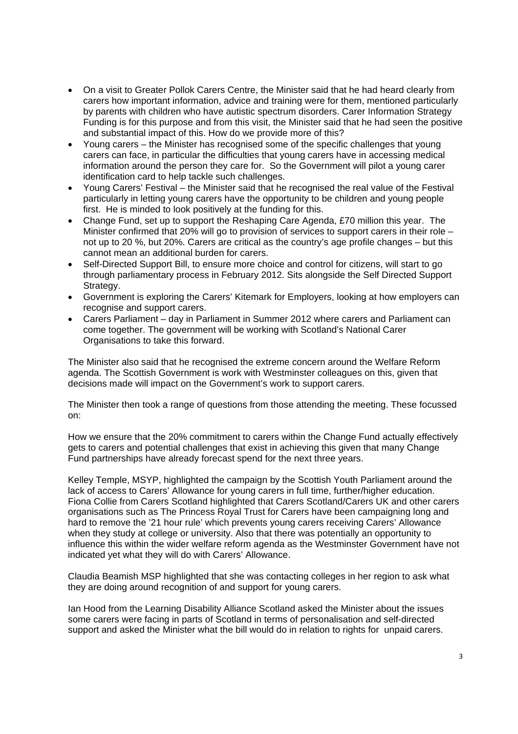- On a visit to Greater Pollok Carers Centre, the Minister said that he had heard clearly from carers how important information, advice and training were for them, mentioned particularly by parents with children who have autistic spectrum disorders. Carer Information Strategy Funding is for this purpose and from this visit, the Minister said that he had seen the positive and substantial impact of this. How do we provide more of this?
- Young carers the Minister has recognised some of the specific challenges that young carers can face, in particular the difficulties that young carers have in accessing medical information around the person they care for. So the Government will pilot a young carer identification card to help tackle such challenges.
- Young Carers' Festival the Minister said that he recognised the real value of the Festival particularly in letting young carers have the opportunity to be children and young people first. He is minded to look positively at the funding for this.
- Change Fund, set up to support the Reshaping Care Agenda, £70 million this year. The Minister confirmed that 20% will go to provision of services to support carers in their role – not up to 20 %, but 20%. Carers are critical as the country's age profile changes – but this cannot mean an additional burden for carers.
- Self-Directed Support Bill, to ensure more choice and control for citizens, will start to go through parliamentary process in February 2012. Sits alongside the Self Directed Support Strategy.
- Government is exploring the Carers' Kitemark for Employers, looking at how employers can recognise and support carers.
- Carers Parliament day in Parliament in Summer 2012 where carers and Parliament can come together. The government will be working with Scotland's National Carer Organisations to take this forward.

The Minister also said that he recognised the extreme concern around the Welfare Reform agenda. The Scottish Government is work with Westminster colleagues on this, given that decisions made will impact on the Government's work to support carers.

The Minister then took a range of questions from those attending the meeting. These focussed on:

How we ensure that the 20% commitment to carers within the Change Fund actually effectively gets to carers and potential challenges that exist in achieving this given that many Change Fund partnerships have already forecast spend for the next three years.

Kelley Temple, MSYP, highlighted the campaign by the Scottish Youth Parliament around the lack of access to Carers' Allowance for young carers in full time, further/higher education. Fiona Collie from Carers Scotland highlighted that Carers Scotland/Carers UK and other carers organisations such as The Princess Royal Trust for Carers have been campaigning long and hard to remove the '21 hour rule' which prevents young carers receiving Carers' Allowance when they study at college or university. Also that there was potentially an opportunity to influence this within the wider welfare reform agenda as the Westminster Government have not indicated yet what they will do with Carers' Allowance.

Claudia Beamish MSP highlighted that she was contacting colleges in her region to ask what they are doing around recognition of and support for young carers.

Ian Hood from the Learning Disability Alliance Scotland asked the Minister about the issues some carers were facing in parts of Scotland in terms of personalisation and self-directed support and asked the Minister what the bill would do in relation to rights for unpaid carers.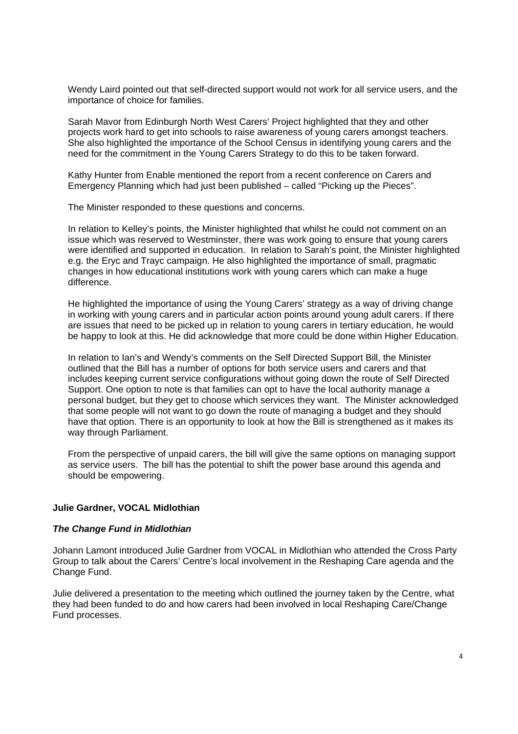Wendy Laird pointed out that self-directed support would not work for all service users, and the importance of choice for families.

Sarah Mavor from Edinburgh North West Carers' Project highlighted that they and other projects work hard to get into schools to raise awareness of young carers amongst teachers. She also highlighted the importance of the School Census in identifying young carers and the need for the commitment in the Young Carers Strategy to do this to be taken forward.

Kathy Hunter from Enable mentioned the report from a recent conference on Carers and Emergency Planning which had just been published – called "Picking up the Pieces".

The Minister responded to these questions and concerns.

In relation to Kelley's points, the Minister highlighted that whilst he could not comment on an issue which was reserved to Westminster, there was work going to ensure that young carers were identified and supported in education. In relation to Sarah's point, the Minister highlighted e.g. the Eryc and Trayc campaign. He also highlighted the importance of small, pragmatic changes in how educational institutions work with young carers which can make a huge difference.

He highlighted the importance of using the Young Carers' strategy as a way of driving change in working with young carers and in particular action points around young adult carers. If there are issues that need to be picked up in relation to young carers in tertiary education, he would be happy to look at this. He did acknowledge that more could be done within Higher Education.

In relation to Ian's and Wendy's comments on the Self Directed Support Bill, the Minister outlined that the Bill has a number of options for both service users and carers and that includes keeping current service configurations without going down the route of Self Directed Support. One option to note is that families can opt to have the local authority manage a personal budget, but they get to choose which services they want. The Minister acknowledged that some people will not want to go down the route of managing a budget and they should have that option. There is an opportunity to look at how the Bill is strengthened as it makes its way through Parliament.

From the perspective of unpaid carers, the bill will give the same options on managing support as service users. The bill has the potential to shift the power base around this agenda and should be empowering.

#### **Julie Gardner, VOCAL Midlothian**

### *The Change Fund in Midlothian*

Johann Lamont introduced Julie Gardner from VOCAL in Midlothian who attended the Cross Party Group to talk about the Carers' Centre's local involvement in the Reshaping Care agenda and the Change Fund.

Julie delivered a presentation to the meeting which outlined the journey taken by the Centre, what they had been funded to do and how carers had been involved in local Reshaping Care/Change Fund processes.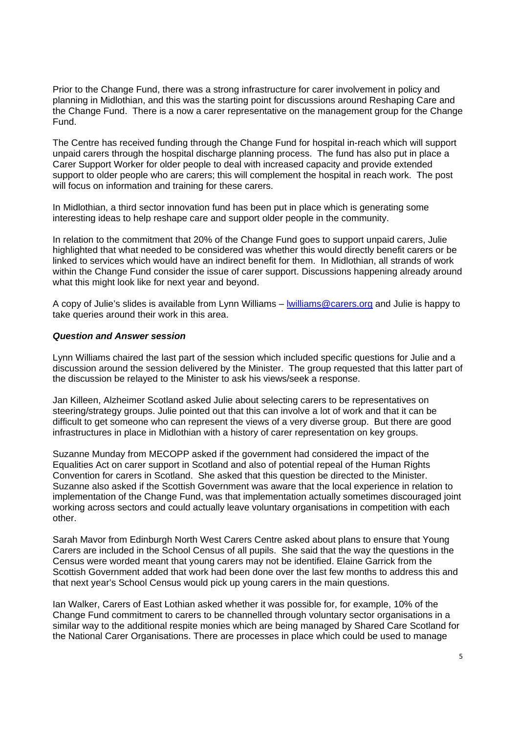Prior to the Change Fund, there was a strong infrastructure for carer involvement in policy and planning in Midlothian, and this was the starting point for discussions around Reshaping Care and the Change Fund. There is a now a carer representative on the management group for the Change Fund.

The Centre has received funding through the Change Fund for hospital in-reach which will support unpaid carers through the hospital discharge planning process. The fund has also put in place a Carer Support Worker for older people to deal with increased capacity and provide extended support to older people who are carers; this will complement the hospital in reach work. The post will focus on information and training for these carers.

In Midlothian, a third sector innovation fund has been put in place which is generating some interesting ideas to help reshape care and support older people in the community.

In relation to the commitment that 20% of the Change Fund goes to support unpaid carers, Julie highlighted that what needed to be considered was whether this would directly benefit carers or be linked to services which would have an indirect benefit for them. In Midlothian, all strands of work within the Change Fund consider the issue of carer support. Discussions happening already around what this might look like for next year and beyond.

A copy of Julie's slides is available from Lynn Williams – lwilliams@carers.org and Julie is happy to take queries around their work in this area.

## *Question and Answer session*

Lynn Williams chaired the last part of the session which included specific questions for Julie and a discussion around the session delivered by the Minister. The group requested that this latter part of the discussion be relayed to the Minister to ask his views/seek a response.

Jan Killeen, Alzheimer Scotland asked Julie about selecting carers to be representatives on steering/strategy groups. Julie pointed out that this can involve a lot of work and that it can be difficult to get someone who can represent the views of a very diverse group. But there are good infrastructures in place in Midlothian with a history of carer representation on key groups.

Suzanne Munday from MECOPP asked if the government had considered the impact of the Equalities Act on carer support in Scotland and also of potential repeal of the Human Rights Convention for carers in Scotland. She asked that this question be directed to the Minister. Suzanne also asked if the Scottish Government was aware that the local experience in relation to implementation of the Change Fund, was that implementation actually sometimes discouraged joint working across sectors and could actually leave voluntary organisations in competition with each other.

Sarah Mavor from Edinburgh North West Carers Centre asked about plans to ensure that Young Carers are included in the School Census of all pupils. She said that the way the questions in the Census were worded meant that young carers may not be identified. Elaine Garrick from the Scottish Government added that work had been done over the last few months to address this and that next year's School Census would pick up young carers in the main questions.

Ian Walker, Carers of East Lothian asked whether it was possible for, for example, 10% of the Change Fund commitment to carers to be channelled through voluntary sector organisations in a similar way to the additional respite monies which are being managed by Shared Care Scotland for the National Carer Organisations. There are processes in place which could be used to manage